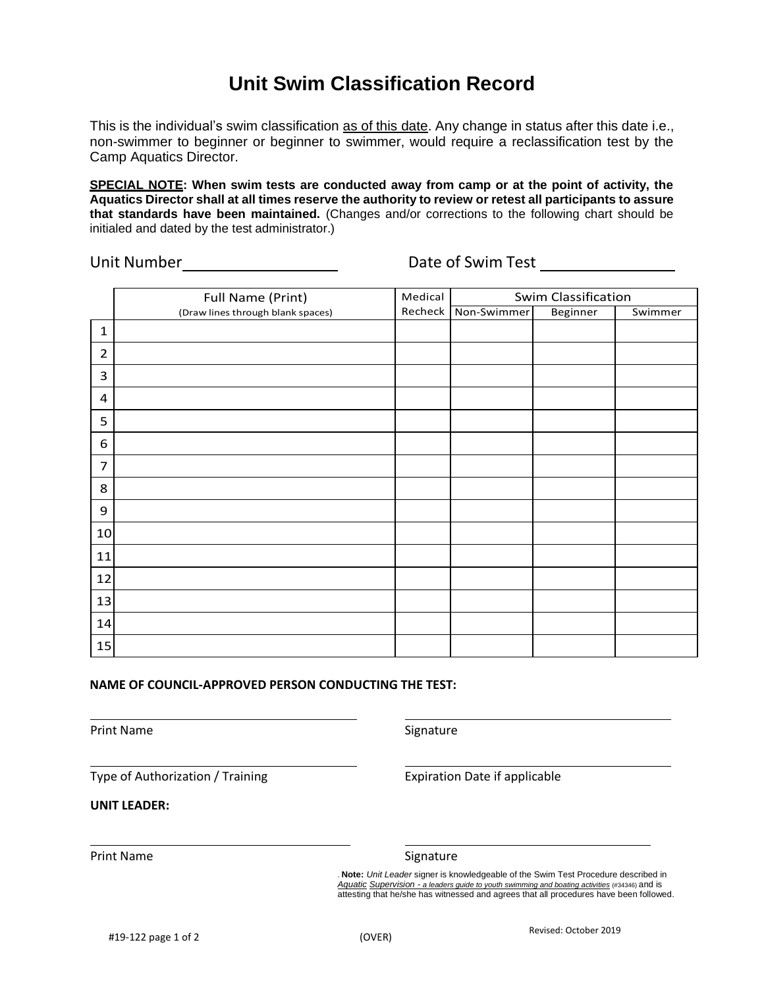# **Unit Swim Classification Record**

This is the individual's swim classification as of this date. Any change in status after this date i.e., non-swimmer to beginner or beginner to swimmer, would require a reclassification test by the Camp Aquatics Director.

**SPECIAL NOTE: When swim tests are conducted away from camp or at the point of activity, the**  Aquatics Director shall at all times reserve the authority to review or retest all participants to assure **that standards have been maintained.** (Changes and/or corrections to the following chart should be initialed and dated by the test administrator.)

Unit Number Date of Swim Test

|                | Full Name (Print)                 | Medical | Swim Classification |          |         |
|----------------|-----------------------------------|---------|---------------------|----------|---------|
|                | (Draw lines through blank spaces) | Recheck | Non-Swimmer         | Beginner | Swimmer |
| $\mathbf{1}$   |                                   |         |                     |          |         |
| $\overline{2}$ |                                   |         |                     |          |         |
| 3              |                                   |         |                     |          |         |
| 4              |                                   |         |                     |          |         |
| 5              |                                   |         |                     |          |         |
| 6              |                                   |         |                     |          |         |
| $\overline{7}$ |                                   |         |                     |          |         |
| 8              |                                   |         |                     |          |         |
| 9              |                                   |         |                     |          |         |
| 10             |                                   |         |                     |          |         |
| 11             |                                   |         |                     |          |         |
| 12             |                                   |         |                     |          |         |
| 13             |                                   |         |                     |          |         |
| 14             |                                   |         |                     |          |         |
| 15             |                                   |         |                     |          |         |

### **NAME OF COUNCIL-APPROVED PERSON CONDUCTING THE TEST:**

Print Name Signature

Type of Authorization / Training

Expiration Date if applicable

**UNIT LEADER:**

Print Name Signature

. **Note:** *Unit Leader* signer is knowledgeable of the Swim Test Procedure described in *Aquatic Supervision - a leaders guide to youth swimming and boating activities* (#34346) and is attesting that he/she has witnessed and agrees that all procedures have been followed.